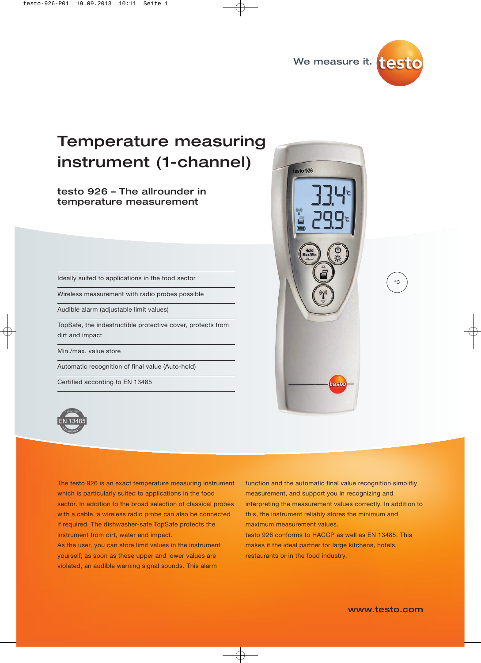

# Temperature measuring instrument (1-channel)

testo 926 – The allrounder in temperature measurement

Ideally suited to applications in the food sector

Wireless measurement with radio probes possible

Audible alarm (adjustable limit values)

TopSafe, the indestructible protective cover, protects from dirt and impact

Min./max. value store

Automatic recognition of final value (Auto-hold)

Certified according to EN 13485



The testo 926 is an exact temperature measuring instrument which is particularly suited to applications in the food sector. In addition to the broad selection of classical probes with a cable, a wireless radio probe can also be connected if required. The dishwasher-safe TopSafe protects the instrument from dirt, water and impact.

As the user, you can store limit values in the instrument yourself; as soon as these upper and lower values are violated, an audible warning signal sounds. This alarm

function and the automatic final value recognition simplifiy measurement, and support you in recognizing and interpreting the measurement values correctly. In addition to this, the instrument reliably stores the minimum and maximum measurement values.

testo 926 conforms to HACCP as well as EN 13485. This makes it the ideal partner for large kitchens, hotels, restaurants or in the food industry.

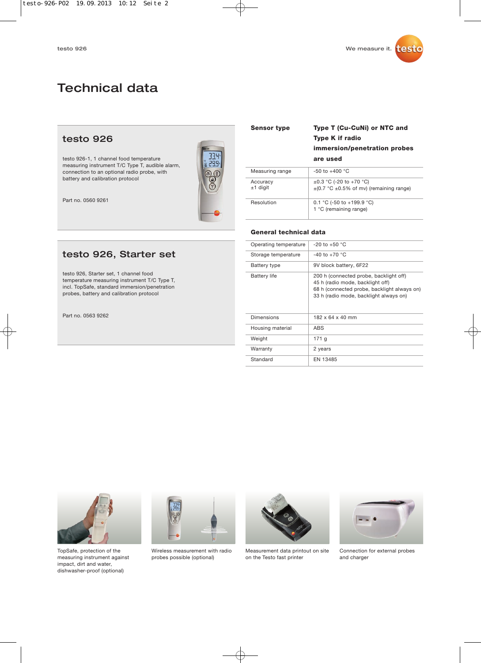# Technical data

## testo 926

testo 926-1, 1 channel food temperature measuring instrument T/C Type T, audible alarm, connection to an optional radio probe, with battery and calibration protocol

Part no. 0560 9261



## testo 926, Starter set

testo 926, Starter set, 1 channel food temperature measuring instrument T/C Type T, incl. TopSafe, standard immersion/penetration probes, battery and calibration protocol

Part no. 0563 9262

| <b>Sensor type</b>     | Type T (Cu-CuNi) or NTC and<br><b>Type K if radio</b><br>immersion/penetration probes<br>are used |
|------------------------|---------------------------------------------------------------------------------------------------|
| Measuring range        | $-50$ to $+400$ °C                                                                                |
| Accuracy<br>$±1$ digit | $\pm 0.3$ °C (-20 to +70 °C)<br>$\pm$ (0.7 °C $\pm$ 0.5% of mv) (remaining range)                 |
| Resolution             | 0.1 °C (-50 to +199.9 °C)<br>1 °C (remaining range)                                               |

### **General technical data**

| Operating temperature | $-20$ to $+50$ °C                                                                                                                                                   |
|-----------------------|---------------------------------------------------------------------------------------------------------------------------------------------------------------------|
| Storage temperature   | $-40$ to $+70$ °C                                                                                                                                                   |
| Battery type          | 9V block battery, 6F22                                                                                                                                              |
| <b>Battery life</b>   | 200 h (connected probe, backlight off)<br>45 h (radio mode, backlight off)<br>68 h (connected probe, backlight always on)<br>33 h (radio mode, backlight always on) |
| Dimensions            | $182 \times 64 \times 40$ mm                                                                                                                                        |
| Housing material      | <b>ABS</b>                                                                                                                                                          |
| Weight                | 171 g                                                                                                                                                               |
| Warranty              | 2 years                                                                                                                                                             |
| Standard              | EN 13485                                                                                                                                                            |



TopSafe, protection of the measuring instrument against impact, dirt and water, dishwasher-proof (optional)



Wireless measurement with radio probes possible (optional)



Measurement data printout on site on the Testo fast printer



Connection for external probes and charger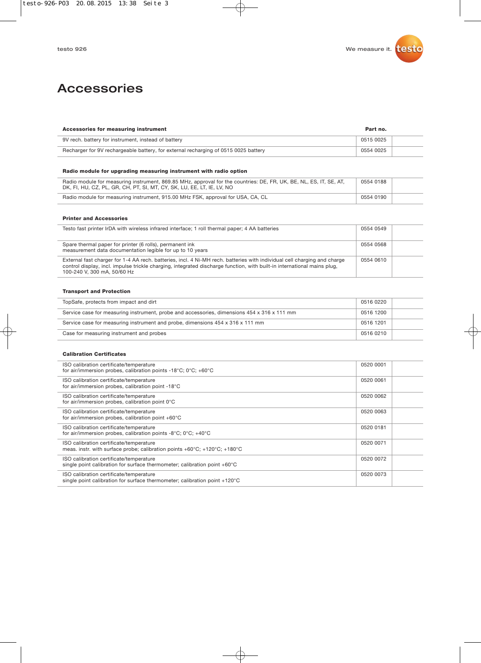## Accessories

| Accessories for measuring instrument                                                |           |  |
|-------------------------------------------------------------------------------------|-----------|--|
| 9V rech. battery for instrument, instead of battery                                 | 0515 0025 |  |
| Recharger for 9V rechargeable battery, for external recharging of 0515 0025 battery | 0554 0025 |  |

### **Radio module for upgrading measuring instrument with radio option**

| Radio module for measuring instrument, 869.85 MHz, approval for the countries: DE, FR, UK, BE, NL, ES, IT, SE, AT,<br>DK, FI, HU, CZ, PL, GR, CH, PT, SI, MT, CY, SK, LU, EE, LT, IE, LV, NO | 0554 0188 |  |
|----------------------------------------------------------------------------------------------------------------------------------------------------------------------------------------------|-----------|--|
| Radio module for measuring instrument, 915.00 MHz FSK, approval for USA, CA, CL                                                                                                              | 0554 0190 |  |

#### **Printer and Accessories**

| Testo fast printer IrDA with wireless infrared interface; 1 roll thermal paper; 4 AA batteries                                                                                                                                                                                     | 0554 0549 |  |
|------------------------------------------------------------------------------------------------------------------------------------------------------------------------------------------------------------------------------------------------------------------------------------|-----------|--|
| Spare thermal paper for printer (6 rolls), permanent ink<br>measurement data documentation legible for up to 10 years                                                                                                                                                              | 0554 0568 |  |
| External fast charger for 1-4 AA rech. batteries, incl. 4 Ni-MH rech. batteries with individual cell charging and charge<br>control display, incl. impulse trickle charging, integrated discharge function, with built-in international mains plug,<br>100-240 V, 300 mA, 50/60 Hz | 0554 0610 |  |

#### **Transport and Protection**

| TopSafe, protects from impact and dirt                                                      | 0516 0220 |  |
|---------------------------------------------------------------------------------------------|-----------|--|
| Service case for measuring instrument, probe and accessories, dimensions 454 x 316 x 111 mm | 0516 1200 |  |
| Service case for measuring instrument and probe, dimensions 454 x 316 x 111 mm              | 0516 1201 |  |
| Case for measuring instrument and probes                                                    | 0516 0210 |  |

#### **Calibration Certificates**

| ISO calibration certificate/temperature<br>for air/immersion probes, calibration points -18°C; 0°C; +60°C                                          | 0520 0001 |
|----------------------------------------------------------------------------------------------------------------------------------------------------|-----------|
| ISO calibration certificate/temperature<br>for air/immersion probes, calibration point -18°C                                                       | 0520 0061 |
| ISO calibration certificate/temperature<br>for air/immersion probes, calibration point 0°C                                                         | 0520 0062 |
| ISO calibration certificate/temperature<br>for air/immersion probes, calibration point +60°C                                                       | 0520 0063 |
| ISO calibration certificate/temperature<br>for air/immersion probes, calibration points -8°C; $0^{\circ}$ C; +40°C                                 | 0520 0181 |
| ISO calibration certificate/temperature<br>meas. instr. with surface probe; calibration points $+60^{\circ}$ C; $+120^{\circ}$ C; $+180^{\circ}$ C | 0520 0071 |
| ISO calibration certificate/temperature<br>single point calibration for surface thermometer; calibration point +60°C                               | 0520 0072 |
| ISO calibration certificate/temperature<br>single point calibration for surface thermometer; calibration point +120°C                              | 0520 0073 |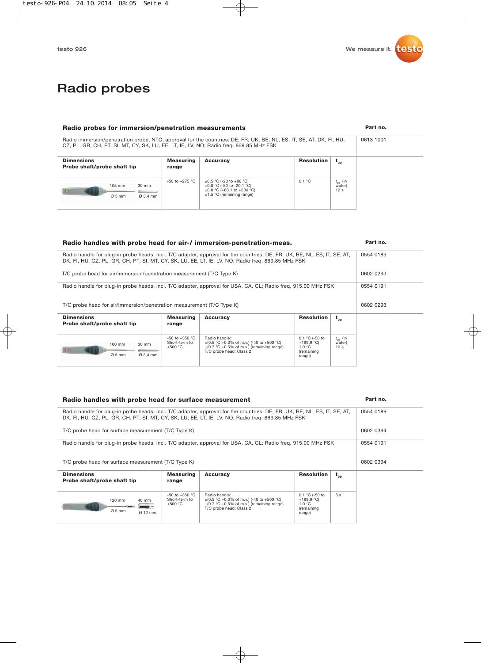**Part no.**

**Part no.**

**Part no.**

## Radio probes

### **Radio probes for immersion/penetration measurements**

| Radio immersion/penetration probe, NTC, approval for the countries: DE, FR, UK, BE, NL, ES, IT, SE, AT, DK, FI, HU,<br>CZ, PL, GR, CH, PT, SI, MT, CY, SK, LU, EE, LT, IE, LV, NO; Radio freq. 869.85 MHz FSK |                    |                                                                                                                                  | 0613 1001  |                                           |  |  |
|---------------------------------------------------------------------------------------------------------------------------------------------------------------------------------------------------------------|--------------------|----------------------------------------------------------------------------------------------------------------------------------|------------|-------------------------------------------|--|--|
| <b>Dimensions</b><br><b>Probe shaft/probe shaft tip</b>                                                                                                                                                       | Measuring<br>range | Accuracy                                                                                                                         | Resolution | $t_{gg}$                                  |  |  |
| $30 \text{ mm}$<br>105 mm<br>$Q_5$ mm<br>$Q$ 3.4 mm                                                                                                                                                           | $-50$ to $+275$ °C | $\pm 0.5$ °C (-20 to +80 °C)<br>$\pm 0.8$ °C (-50 to -20.1 °C)<br>$\pm 0.8$ °C (+80.1 to +200 °C)<br>$±1.5$ °C (remaining range) | 0.1 °C     | $t_{gg}$ (in<br>water)<br>12 <sub>s</sub> |  |  |

### **Radio handles with probe head for air-/ immersion-penetration-meas.**

| 0554 0189<br>Radio handle for plug-in probe heads, incl. T/C adapter, approval for the countries: DE, FR, UK, BE, NL, ES, IT, SE, AT,<br>DK, FI, HU, CZ, PL, GR, CH, PT, SI, MT, CY, SK, LU, EE, LT, IE, LV, NO; Radio freg. 869.85 MHz FSK |                                                  |                                                                                                                                             |                                                        |                                               |           |  |
|---------------------------------------------------------------------------------------------------------------------------------------------------------------------------------------------------------------------------------------------|--------------------------------------------------|---------------------------------------------------------------------------------------------------------------------------------------------|--------------------------------------------------------|-----------------------------------------------|-----------|--|
| T/C probe head for air/immersion/penetration measurement (T/C Type K)                                                                                                                                                                       |                                                  |                                                                                                                                             |                                                        |                                               | 0602 0293 |  |
| Radio handle for plug-in probe heads, incl. T/C adapter, approval for USA, CA, CL; Radio freq. 915.00 MHz FSK                                                                                                                               |                                                  |                                                                                                                                             |                                                        |                                               | 0554 0191 |  |
| T/C probe head for air/immersion/penetration measurement (T/C Type K)                                                                                                                                                                       |                                                  |                                                                                                                                             |                                                        |                                               | 0602 0293 |  |
| <b>Dimensions</b>                                                                                                                                                                                                                           | Measuring                                        | <b>Accuracy</b>                                                                                                                             | <b>Resolution</b>                                      | $t_{gg}$                                      |           |  |
| Probe shaft/probe shaft tip                                                                                                                                                                                                                 | range                                            |                                                                                                                                             |                                                        |                                               |           |  |
|                                                                                                                                                                                                                                             |                                                  |                                                                                                                                             |                                                        |                                               |           |  |
| 100 mm<br>30 mm                                                                                                                                                                                                                             | $-50$ to $+350$ °C<br>Short-term to<br>$+500 °C$ | Radio handle:<br>$\pm$ (0.5 °C +0.3% of m.v.) (-40 to +500 °C)<br>$\pm$ (0.7 °C +0.5% of m.v.) (remaining range)<br>T/C probe head: Class 2 | 0.1 °C (-50 to<br>$+199.9$ °C)<br>1.0 °C<br>(remaining | $t_{\alpha}$ (in<br>water)<br>10 <sub>s</sub> |           |  |

range)

range)

#### **Radio handles with probe head for surface measurement**

Ø 3,4 mm

Ø 5 mm

40 mm

£  $\sim$ 

Ø 12 mm

120 mm

 $\bullet$   $\bullet$ 

 $Ø<sub>5</sub>$  mm

Short-term to +500 °C

#### **Dimensions Probe shaft/probe shaft tip Measuring range**  $-50$  to  $+350$  °C **Accuracy** Radio handle: ±(0.5 °C +0.3% of m.v.) (-40 to +500 °C) ±(0.7 °C +0.5% of m.v.) (remaining range) T/C probe head: Class 2 **Resolution**  $\mathbf{t}_{99}$ 0.1 °C (-50 to +199.9 °C) 1.0 °C (remaining  $\overline{5 s}$ 0554 0189 0554 0191 Radio handle for plug-in probe heads, incl. T/C adapter, approval for the countries: DE, FR, UK, BE, NL, ES, IT, SE, AT, DK, FI, HU, CZ, PL, GR, CH, PT, SI, MT, CY, SK, LU, EE, LT, IE, LV, NO; Radio freq. 869.85 MHz FSK Radio handle for plug-in probe heads, incl. T/C adapter, approval for USA, CA, CL; Radio freq. 915.00 MHz FSK 0602 0394 0602 0394 T/C probe head for surface measurement (T/C Type K) T/C probe head for surface measurement (T/C Type K)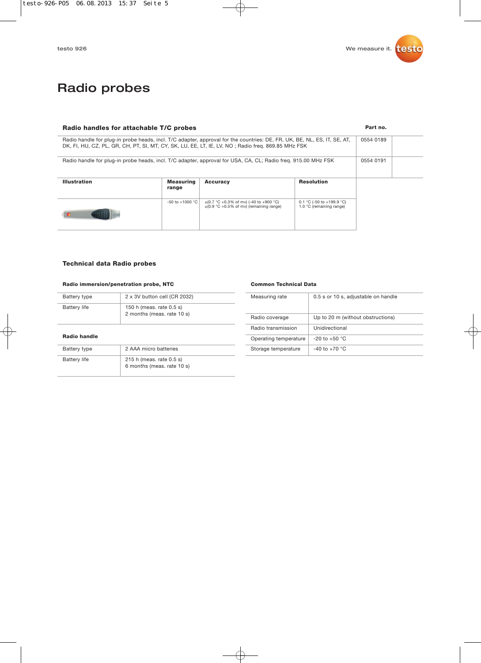## Radio probes

| Radio handles for attachable T/C probes                                                                                                                                                                                        |                     |                                                                                             |                                                       | Part no.  |  |
|--------------------------------------------------------------------------------------------------------------------------------------------------------------------------------------------------------------------------------|---------------------|---------------------------------------------------------------------------------------------|-------------------------------------------------------|-----------|--|
| Radio handle for plug-in probe heads, incl. T/C adapter, approval for the countries: DE, FR, UK, BE, NL, ES, IT, SE, AT,<br>DK, FI, HU, CZ, PL, GR, CH, PT, SI, MT, CY, SK, LU, EE, LT, IE, LV, NO; Radio freg. 869.85 MHz FSK |                     |                                                                                             |                                                       | 0554 0189 |  |
| Radio handle for plug-in probe heads, incl. T/C adapter, approval for USA, CA, CL; Radio freg. 915.00 MHz FSK                                                                                                                  |                     |                                                                                             | 0554 0191                                             |           |  |
| <b>Illustration</b>                                                                                                                                                                                                            | Measuring<br>range  | <b>Accuracy</b>                                                                             | <b>Resolution</b>                                     |           |  |
|                                                                                                                                                                                                                                | $-50$ to $+1000$ °C | $\pm$ (0.7 °C +0.3% of mv) (-40 to +900 °C)<br>$\pm$ (0.9 °C +0.5% of mv) (remaining range) | 0.1 °C (-50 to +199.9 °C)<br>1.0 °C (remaining range) |           |  |

### **Technical data Radio probes**

### **Radio immersion/penetration probe, NTC**

Battery life 215 h (meas. rate 0.5 s)

| Battery type        | 2 x 3V button cell (CR 2032)                           |
|---------------------|--------------------------------------------------------|
| <b>Battery life</b> | 150 h (meas. rate 0.5 s)<br>2 months (meas. rate 10 s) |
| <b>Radio handle</b> |                                                        |
| Battery type        | 2 AAA micro batteries                                  |

6 months (meas. rate 10 s)

### **Common Technical Data**

| Measuring rate        | 0.5 s or 10 s, adjustable on handle |
|-----------------------|-------------------------------------|
| Radio coverage        | Up to 20 m (without obstructions)   |
| Radio transmission    | Unidirectional                      |
| Operating temperature | $-20$ to $+50$ °C                   |
| Storage temperature   | $-40$ to $+70$ °C                   |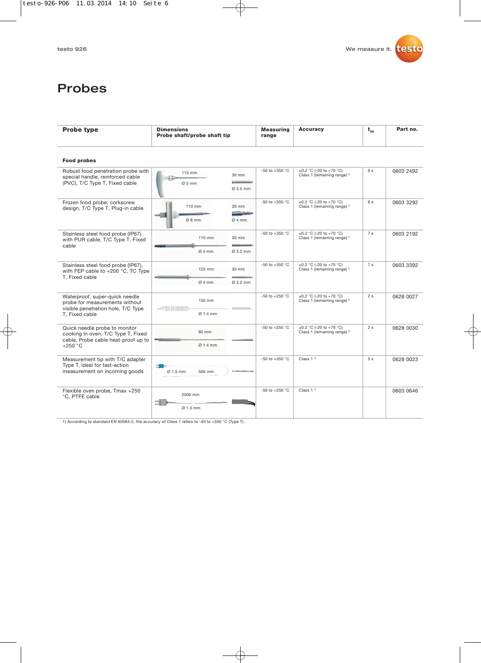## Probes

| <b>Probe type</b>                                                                                                        | <b>Dimensions</b><br>Probe shaft/probe shaft tip                                                                                                                                                                                                             | <b>Measuring</b><br>range | <b>Accuracy</b>                                                         | $t_{\alpha}$   | Part no.  |
|--------------------------------------------------------------------------------------------------------------------------|--------------------------------------------------------------------------------------------------------------------------------------------------------------------------------------------------------------------------------------------------------------|---------------------------|-------------------------------------------------------------------------|----------------|-----------|
| <b>Food probes</b>                                                                                                       |                                                                                                                                                                                                                                                              |                           |                                                                         |                |           |
| Robust food penetration probe with<br>special handle, reinforced cable<br>(PVC), T/C Type T, Fixed cable                 | 115 mm<br>30 mm<br>$Ø5$ mm<br>Ø 3.5 mm                                                                                                                                                                                                                       | -50 to +350 °C            | ±0.2 °C (-20 to +70 °C)<br>Class 1 (remaining range) 1)                 | 6s             | 0603 2492 |
| Frozen food probe, corkscrew<br>design, T/C Type T, Plug-in cable                                                        | 110 mm<br>30 mm<br>شبشيشين<br>Ø8mm<br>Ø4mm                                                                                                                                                                                                                   | -50 to +350 °C            | ±0.2 °C (-20 to +70 °C)<br>Class 1 (remaining range) <sup>1)</sup>      | 8 s            | 0603 3292 |
| Stainless steel food probe (IP67)<br>with PUR cable, T/C Type T, Fixed<br>cable                                          | 110 mm<br>30 mm<br>Ø4mm<br>Ø 3.2 mm                                                                                                                                                                                                                          | -50 to +350 $^{\circ}$ C  | $\pm 0.2$ °C (-20 to +70 °C)<br>Class 1 (remaining range) <sup>1)</sup> | 7 <sub>s</sub> | 0603 2192 |
| Stainless steel food probe (IP67),<br>with FEP cable to +200 °C, TC Type<br>T, Fixed cable                               | 125 mm<br>30 mm<br>Ø4mm<br>Ø 3.2 mm                                                                                                                                                                                                                          | -50 to +350 $^{\circ}$ C  | $\pm 0.2$ °C (-20 to +70 °C)<br>Class 1 (remaining range) <sup>1)</sup> | 7 <sub>s</sub> | 0603 3392 |
| Waterproof, super-quick needle<br>probe for measurements without<br>visible penetration hole, T/C Type<br>T, Fixed cable | 150 mm<br><u>The company of the company of the company of the company of the company of the company of the company of the company of the company of the company of the company of the company of the company of the company of the company</u><br>$Ø$ 1.4 mm | -50 to +250 $^{\circ}$ C  | ±0.2 °C (-20 to +70 °C)<br>Class 1 (remaining range) <sup>1)</sup>      | 2s             | 0628 0027 |
| Quick needle probe to monitor<br>cooking in oven, T/C Type T, Fixed<br>cable, Probe cable heat-proof up to<br>$+250 °C$  | 60 mm<br>$Ø$ 1.4 mm                                                                                                                                                                                                                                          | -50 to +250 $^{\circ}$ C  | ±0.2 °C (-20 to +70 °C)<br>Class 1 (remaining range) <sup>1)</sup>      | 2s             | 0628 0030 |
| Measurement tip with T/C adapter<br>Type T, ideal for fast-action<br>measurement on incoming goods                       | 二種<br>Ø 1.5 mm<br>500 mm                                                                                                                                                                                                                                     | -50 to +350 $^{\circ}$ C  | Class $11$                                                              | 5s             | 0628 0023 |
| Flexible oven probe, Tmax +250<br>°C, PTFE cable                                                                         | 2000 mm<br>-5<br>Ø 1.5 mm                                                                                                                                                                                                                                    | -50 to +250 $^{\circ}$ C  | Class 1 <sup>1</sup>                                                    |                | 0603 0646 |

1) According to standard EN 60584-2, the accuracy of Class 1 refers to -40 to +350 °C (Type T).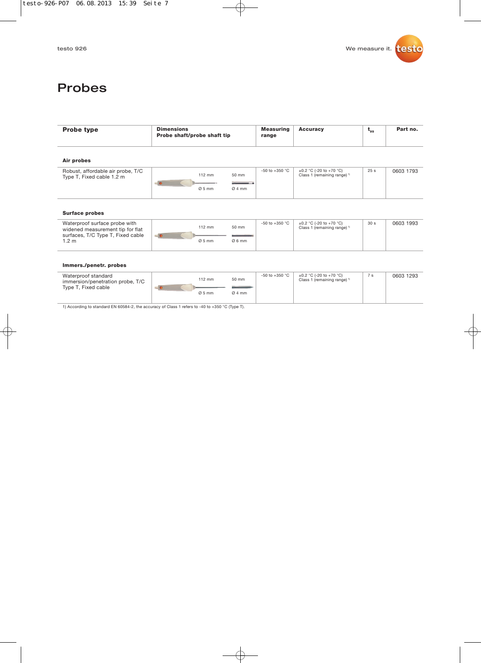## Probes

| $112 \text{ mm}$<br>- 0 | 50 mm<br><b>Continued by Coleman Coleman Coleman Coleman Coleman Coleman Coleman Coleman Coleman Coleman Coleman Coleman Col</b> | $-50$ to $+350$ °C | $\pm 0.2$ °C (-20 to +70 °C)<br>Class 1 (remaining range) 1) | 25 <sub>s</sub> | 0603 1793 |
|-------------------------|----------------------------------------------------------------------------------------------------------------------------------|--------------------|--------------------------------------------------------------|-----------------|-----------|
|                         |                                                                                                                                  |                    |                                                              |                 |           |
|                         |                                                                                                                                  |                    |                                                              |                 |           |
| 112 mm<br>$= 0$         | 50 mm                                                                                                                            | $-50$ to $+350$ °C | $\pm 0.2$ °C (-20 to +70 °C)<br>Class 1 (remaining range) 1) | 30 <sub>s</sub> | 0603 1993 |
| $Ø5$ mm                 | Ø6mm                                                                                                                             |                    |                                                              |                 |           |
|                         | $Ø5$ mm                                                                                                                          | Ø4mm               |                                                              |                 |           |

#### **Immers./penetr. probes**

| 50 mm<br>$112 \text{ mm}$<br>Class 1 (remaining range) <sup>1)</sup><br>immersion/penetration probe, T/C<br>Type T, Fixed cable<br>$Ø4$ mm<br>$Ø5$ mm | Waterproof standard |  |  | -50 to +350 $^{\circ}$ C | $\pm 0.2$ °C (-20 to +70 °C) | 7 s | 0603 1293 |
|-------------------------------------------------------------------------------------------------------------------------------------------------------|---------------------|--|--|--------------------------|------------------------------|-----|-----------|
|-------------------------------------------------------------------------------------------------------------------------------------------------------|---------------------|--|--|--------------------------|------------------------------|-----|-----------|

1) According to standard EN 60584-2, the accuracy of Class 1 refers to -40 to +350 °C (Type T).